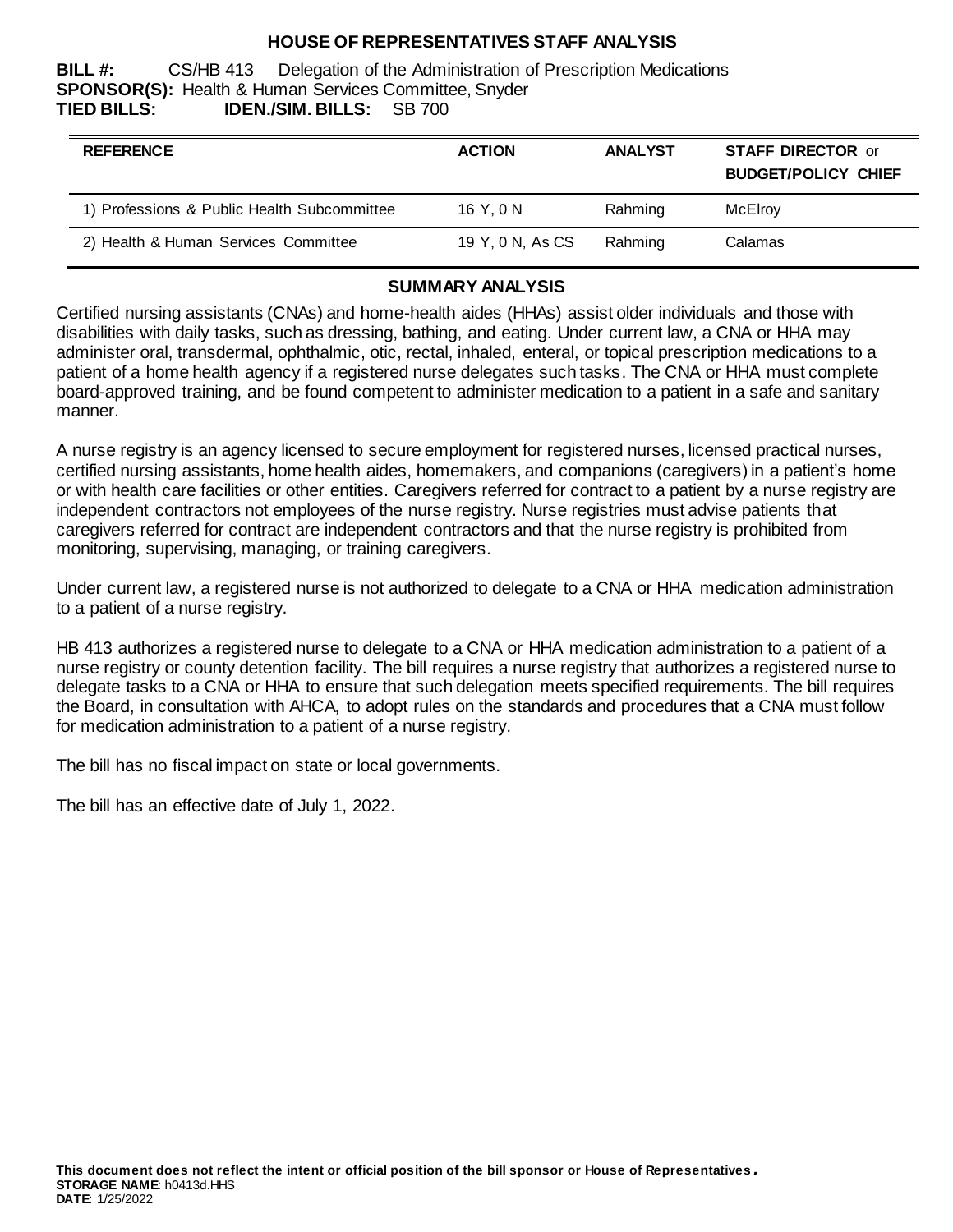## **HOUSE OF REPRESENTATIVES STAFF ANALYSIS**

**BILL #:** CS/HB 413 Delegation of the Administration of Prescription Medications **SPONSOR(S):** Health & Human Services Committee, Snyder **TIED BILLS: IDEN./SIM. BILLS:** SB 700

| <b>REFERENCE</b>                            | <b>ACTION</b>    | <b>ANALYST</b> | <b>STAFF DIRECTOR or</b><br><b>BUDGET/POLICY CHIEF</b> |
|---------------------------------------------|------------------|----------------|--------------------------------------------------------|
| 1) Professions & Public Health Subcommittee | 16 Y.ON          | Rahming        | McElroy                                                |
| 2) Health & Human Services Committee        | 19 Y, 0 N, As CS | Rahming        | Calamas                                                |

#### **SUMMARY ANALYSIS**

Certified nursing assistants (CNAs) and home-health aides (HHAs) assist older individuals and those with disabilities with daily tasks, such as dressing, bathing, and eating. Under current law, a CNA or HHA may administer oral, transdermal, ophthalmic, otic, rectal, inhaled, enteral, or topical prescription medications to a patient of a home health agency if a registered nurse delegates such tasks. The CNA or HHA must complete board-approved training, and be found competent to administer medication to a patient in a safe and sanitary manner.

A nurse registry is an agency licensed to secure employment for registered nurses, licensed practical nurses, certified nursing assistants, home health aides, homemakers, and companions (caregivers) in a patient's home or with health care facilities or other entities. Caregivers referred for contract to a patient by a nurse registry are independent contractors not employees of the nurse registry. Nurse registries must advise patients that caregivers referred for contract are independent contractors and that the nurse registry is prohibited from monitoring, supervising, managing, or training caregivers.

Under current law, a registered nurse is not authorized to delegate to a CNA or HHA medication administration to a patient of a nurse registry.

HB 413 authorizes a registered nurse to delegate to a CNA or HHA medication administration to a patient of a nurse registry or county detention facility. The bill requires a nurse registry that authorizes a registered nurse to delegate tasks to a CNA or HHA to ensure that such delegation meets specified requirements. The bill requires the Board, in consultation with AHCA, to adopt rules on the standards and procedures that a CNA must follow for medication administration to a patient of a nurse registry.

The bill has no fiscal impact on state or local governments.

The bill has an effective date of July 1, 2022.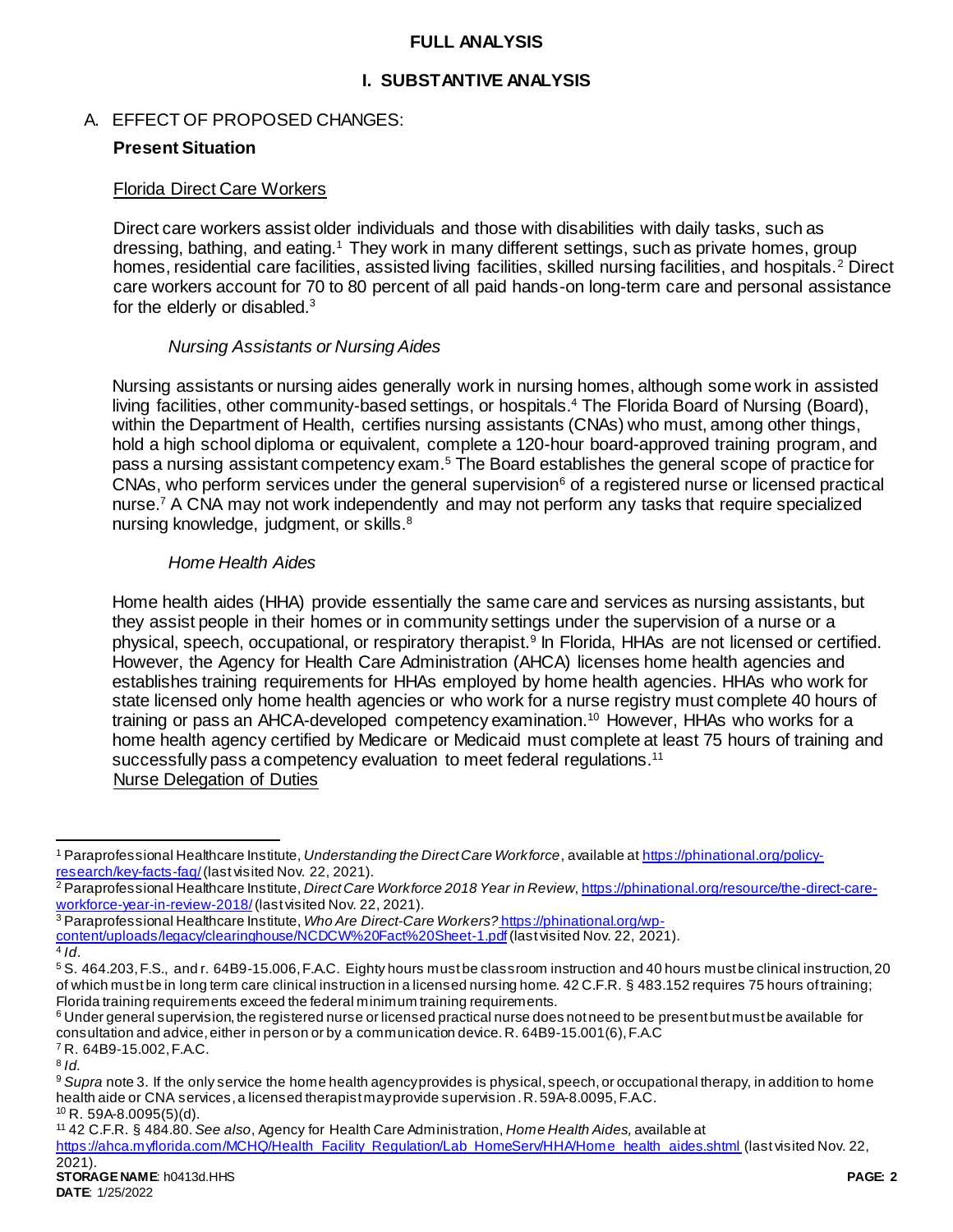## **FULL ANALYSIS**

# **I. SUBSTANTIVE ANALYSIS**

## A. EFFECT OF PROPOSED CHANGES:

## **Present Situation**

#### Florida Direct Care Workers

Direct care workers assist older individuals and those with disabilities with daily tasks, such as dressing, bathing, and eating.<sup>1</sup> They work in many different settings, such as private homes, group homes, residential care facilities, assisted living facilities, skilled nursing facilities, and hospitals.<sup>2</sup> Direct care workers account for 70 to 80 percent of all paid hands-on long-term care and personal assistance for the elderly or disabled.<sup>3</sup>

## <span id="page-1-0"></span>*Nursing Assistants or Nursing Aides*

Nursing assistants or nursing aides generally work in nursing homes, although some work in assisted living facilities, other community-based settings, or hospitals.<sup>4</sup> The Florida Board of Nursing (Board), within the Department of Health, certifies nursing assistants (CNAs) who must, among other things, hold a high school diploma or equivalent, complete a 120-hour board-approved training program, and pass a nursing assistant competency exam.<sup>5</sup> The Board establishes the general scope of practice for CNAs, who perform services under the general supervision<sup>6</sup> of a registered nurse or licensed practical nurse.<sup>7</sup> A CNA may not work independently and may not perform any tasks that require specialized nursing knowledge, judgment, or skills.<sup>8</sup>

## *Home Health Aides*

Home health aides (HHA) provide essentially the same care and services as nursing assistants, but they assist people in their homes or in community settings under the supervision of a nurse or a physical, speech, occupational, or respiratory therapist.<sup>9</sup> In Florida, HHAs are not licensed or certified. However, the Agency for Health Care Administration (AHCA) licenses home health agencies and establishes training requirements for HHAs employed by home health agencies. HHAs who work for state licensed only home health agencies or who work for a nurse registry must complete 40 hours of training or pass an AHCA-developed competency examination.<sup>10</sup> However, HHAs who works for a home health agency certified by Medicare or Medicaid must complete at least 75 hours of training and successfully pass a competency evaluation to meet federal regulations.<sup>11</sup> Nurse Delegation of Duties

<sup>3</sup> Paraprofessional Healthcare Institute, *Who Are Direct-Care Workers?* [https://phinational.org/wp](https://phinational.org/wp-content/uploads/legacy/clearinghouse/NCDCW%20Fact%20Sheet-1.pdf)[content/uploads/legacy/clearinghouse/NCDCW%20Fact%20Sheet-1.pdf](https://phinational.org/wp-content/uploads/legacy/clearinghouse/NCDCW%20Fact%20Sheet-1.pdf) (last visited Nov. 22, 2021). 4 *Id*.

<sup>7</sup> R. 64B9-15.002, F.A.C.

 $\overline{a}$ 

<sup>1</sup> Paraprofessional Healthcare Institute, *Understanding the Direct Care Workforce*, available a[t https://phinational.org/policy](https://phinational.org/policy-research/key-facts-faq/)[research/key-facts-faq/](https://phinational.org/policy-research/key-facts-faq/) (last visited Nov. 22, 2021).

<sup>2</sup> Paraprofessional Healthcare Institute, *Direct Care Workforce 2018 Year in Review*, [https://phinational.org/resource/the-direct-care](https://phinational.org/resource/the-direct-care-workforce-year-in-review-2018/)[workforce-year-in-review-2018/](https://phinational.org/resource/the-direct-care-workforce-year-in-review-2018/)(last visited Nov. 22, 2021).

<sup>5</sup> S. 464.203, F.S., and r. 64B9-15.006, F.A.C. Eighty hours must be classroom instruction and 40 hours must be clinical instruction, 20 of which must be in long term care clinical instruction in a licensed nursing home. 42 C.F.R. § 483.152 requires 75 hours of training; Florida training requirements exceed the federal minimum training requirements.

<sup>&</sup>lt;sup>6</sup> Under general supervision, the registered nurse or licensed practical nurse does not need to be present but must be available for consultation and advice, either in person or by a communication device. R. 64B9-15.001(6), F.A.C

<sup>8</sup> *Id.*

<sup>&</sup>lt;sup>9</sup> Supra not[e 3.](#page-1-0) If the only service the home health agency provides is physical, speech, or occupational therapy, in addition to home health aide or CNA services, a licensed therapist may provide supervision.R. 59A-8.0095, F.A.C.  $10$  R. 59A-8.0095(5)(d).

<sup>11</sup> 42 C.F.R. § 484.80. *See also*, Agency for Health Care Administration, *Home Health Aides,* available at

[https://ahca.myflorida.com/MCHQ/Health\\_Facility\\_Regulation/Lab\\_HomeServ/HHA/Home\\_health\\_aides.shtml](https://ahca.myflorida.com/MCHQ/Health_Facility_Regulation/Lab_HomeServ/HHA/Home_health_aides.shtml) (last visited Nov. 22,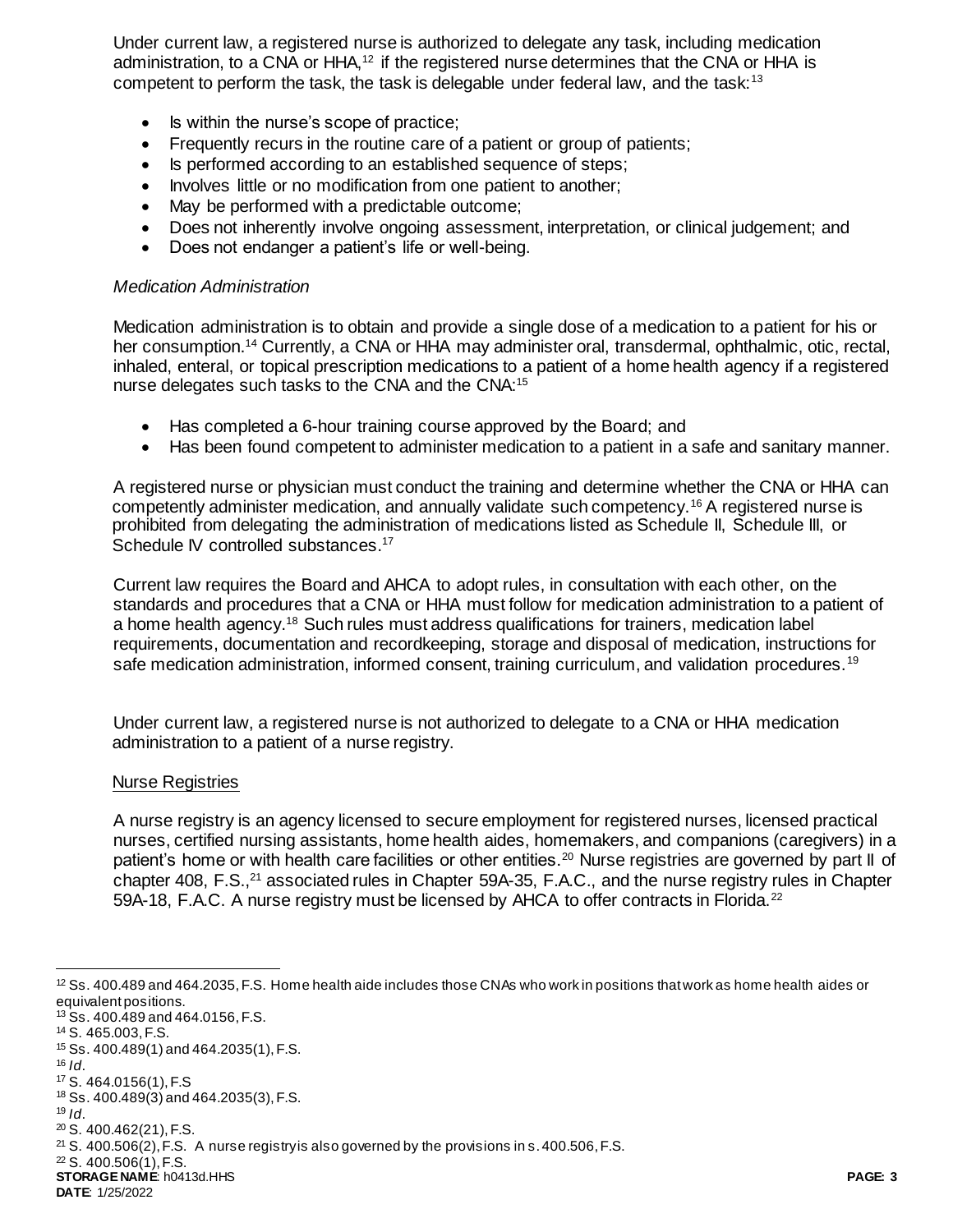Under current law, a registered nurse is authorized to delegate any task, including medication administration, to a CNA or  $HHA<sub>12</sub>$  if the registered nurse determines that the CNA or HHA is competent to perform the task, the task is delegable under federal law, and the task:<sup>13</sup>

- Is within the nurse's scope of practice;
- Frequently recurs in the routine care of a patient or group of patients;
- Is performed according to an established sequence of steps;
- Involves little or no modification from one patient to another;
- May be performed with a predictable outcome;
- Does not inherently involve ongoing assessment, interpretation, or clinical judgement; and
- Does not endanger a patient's life or well-being.

#### *Medication Administration*

Medication administration is to obtain and provide a single dose of a medication to a patient for his or her consumption.<sup>14</sup> Currently, a CNA or HHA may administer oral, transdermal, ophthalmic, otic, rectal, inhaled, enteral, or topical prescription medications to a patient of a home health agency if a registered nurse delegates such tasks to the CNA and the CNA:<sup>15</sup>

- Has completed a 6-hour training course approved by the Board; and
- Has been found competent to administer medication to a patient in a safe and sanitary manner.

A registered nurse or physician must conduct the training and determine whether the CNA or HHA can competently administer medication, and annually validate such competency.<sup>16</sup> A registered nurse is prohibited from delegating the administration of medications listed as Schedule II, Schedule III, or Schedule IV controlled substances.<sup>17</sup>

Current law requires the Board and AHCA to adopt rules, in consultation with each other, on the standards and procedures that a CNA or HHA must follow for medication administration to a patient of a home health agency.<sup>18</sup> Such rules must address qualifications for trainers, medication label requirements, documentation and recordkeeping, storage and disposal of medication, instructions for safe medication administration, informed consent, training curriculum, and validation procedures.<sup>19</sup>

Under current law, a registered nurse is not authorized to delegate to a CNA or HHA medication administration to a patient of a nurse registry.

#### Nurse Registries

A nurse registry is an agency licensed to secure employment for registered nurses, licensed practical nurses, certified nursing assistants, home health aides, homemakers, and companions (caregivers) in a patient's home or with health care facilities or other entities.<sup>20</sup> Nurse registries are governed by part II of chapter 408, F.S.,<sup>21</sup> associated rules in Chapter 59A-35, F.A.C., and the nurse registry rules in Chapter 59A-18, F.A.C. A nurse registry must be licensed by AHCA to offer contracts in Florida.<sup>22</sup>

 $16$  *Id.* 

l

<sup>22</sup> S. 400.506(1), F.S.

**STORAGE NAME**: h0413d.HHS **PAGE: 3 DATE**: 1/25/2022

<sup>12</sup> Ss. 400.489 and 464.2035, F.S. Home health aide includes those CNAs who work in positions that work as home health aides or equivalent positions.

<sup>13</sup> Ss. 400.489 and 464.0156, F.S.

<sup>14</sup> S. 465.003, F.S.

<sup>15</sup> Ss. 400.489(1) and 464.2035(1), F.S.

<sup>17</sup> S. 464.0156(1), F.S <sup>18</sup> Ss. 400.489(3) and 464.2035(3), F.S.

 $19$  *Id.* 

<sup>20</sup> S. 400.462(21), F.S.

 $21$  S. 400.506(2), F.S. A nurse registry is also governed by the provisions in s. 400.506, F.S.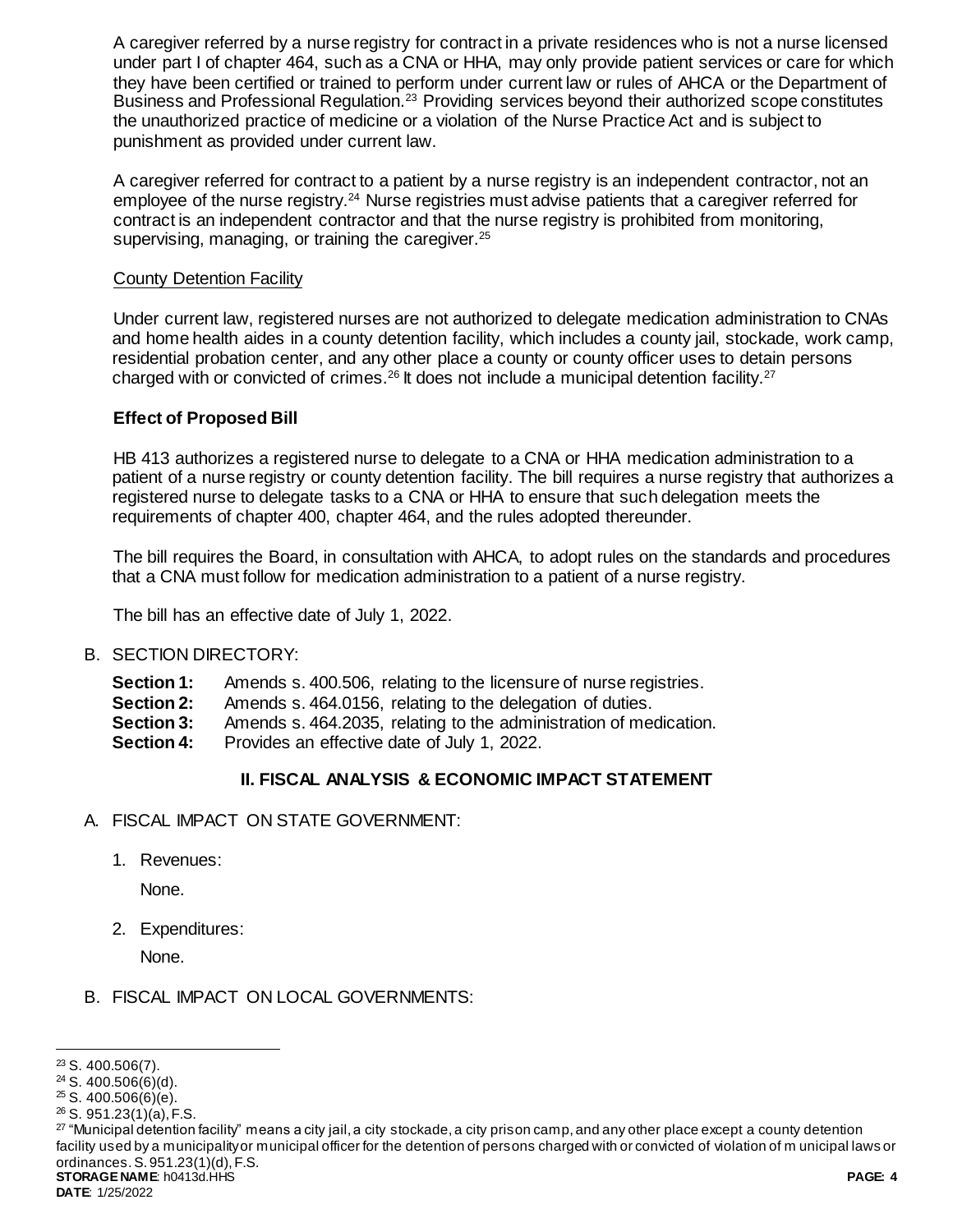A caregiver referred by a nurse registry for contract in a private residences who is not a nurse licensed under part I of chapter 464, such as a CNA or HHA, may only provide patient services or care for which they have been certified or trained to perform under current law or rules of AHCA or the Department of Business and Professional Regulation.<sup>23</sup> Providing services beyond their authorized scope constitutes the unauthorized practice of medicine or a violation of the Nurse Practice Act and is subject to punishment as provided under current law.

A caregiver referred for contract to a patient by a nurse registry is an independent contractor, not an employee of the nurse registry.<sup>24</sup> Nurse registries must advise patients that a caregiver referred for contract is an independent contractor and that the nurse registry is prohibited from monitoring, supervising, managing, or training the caregiver.<sup>25</sup>

# County Detention Facility

Under current law, registered nurses are not authorized to delegate medication administration to CNAs and home health aides in a county detention facility, which includes a county jail, stockade, work camp, residential probation center, and any other place a county or county officer uses to detain persons charged with or convicted of crimes.<sup>26</sup> It does not include a municipal detention facility.<sup>27</sup>

## **Effect of Proposed Bill**

HB 413 authorizes a registered nurse to delegate to a CNA or HHA medication administration to a patient of a nurse registry or county detention facility. The bill requires a nurse registry that authorizes a registered nurse to delegate tasks to a CNA or HHA to ensure that such delegation meets the requirements of chapter 400, chapter 464, and the rules adopted thereunder.

The bill requires the Board, in consultation with AHCA, to adopt rules on the standards and procedures that a CNA must follow for medication administration to a patient of a nurse registry.

The bill has an effective date of July 1, 2022.

- B. SECTION DIRECTORY:
	- **Section 1:** Amends s. 400.506, relating to the licensure of nurse registries.
	- **Section 2:** Amends s. 464.0156, relating to the delegation of duties.
	- **Section 3:** Amends s. 464.2035, relating to the administration of medication.
	- **Section 4:** Provides an effective date of July 1, 2022.

# **II. FISCAL ANALYSIS & ECONOMIC IMPACT STATEMENT**

- A. FISCAL IMPACT ON STATE GOVERNMENT:
	- 1. Revenues:

None.

2. Expenditures:

None.

# B. FISCAL IMPACT ON LOCAL GOVERNMENTS:

l

<sup>23</sup> S. 400.506(7).

 $24$  S. 400.506(6)(d).

 $25$  S. 400.506(6)(e).

<sup>26</sup> S. 951.23(1)(a), F.S.

**STORAGE NAME**: h0413d.HHS **PAGE: 4**  $27$  "Municipal detention facility" means a city jail, a city stockade, a city prison camp, and any other place except a county detention facility used by a municipality or municipal officer for the detention of persons charged with or convicted of violation of m unicipal laws or ordinances. S. 951.23(1)(d), F.S.